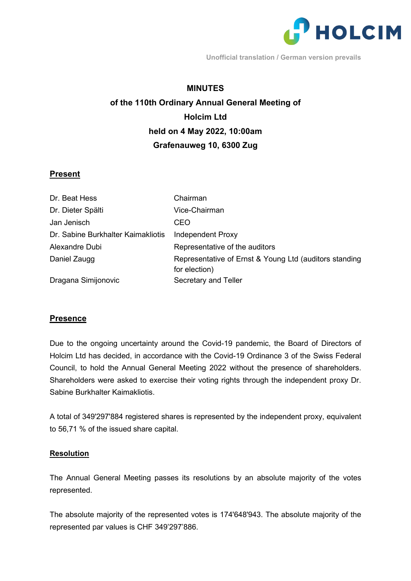

**Unofficial translation / German version prevails**

#### **MINUTES**

# **of the 110th Ordinary Annual General Meeting of Holcim Ltd held on 4 May 2022, 10:00am Grafenauweg 10, 6300 Zug**

### **Present**

| Dr. Beat Hess                      | Chairman                                               |
|------------------------------------|--------------------------------------------------------|
| Dr. Dieter Spälti                  | Vice-Chairman                                          |
| Jan Jenisch                        | CEO                                                    |
| Dr. Sabine Burkhalter Kaimakliotis | <b>Independent Proxy</b>                               |
| Alexandre Dubi                     | Representative of the auditors                         |
| Daniel Zaugg                       | Representative of Ernst & Young Ltd (auditors standing |
|                                    | for election)                                          |
| Dragana Simijonovic                | Secretary and Teller                                   |

#### **Presence**

Due to the ongoing uncertainty around the Covid-19 pandemic, the Board of Directors of Holcim Ltd has decided, in accordance with the Covid-19 Ordinance 3 of the Swiss Federal Council, to hold the Annual General Meeting 2022 without the presence of shareholders. Shareholders were asked to exercise their voting rights through the independent proxy Dr. Sabine Burkhalter Kaimakliotis.

A total of 349'297'884 registered shares is represented by the independent proxy, equivalent to 56,71 % of the issued share capital.

#### **Resolution**

The Annual General Meeting passes its resolutions by an absolute majority of the votes represented.

The absolute majority of the represented votes is 174'648'943. The absolute majority of the represented par values is CHF 349'297'886.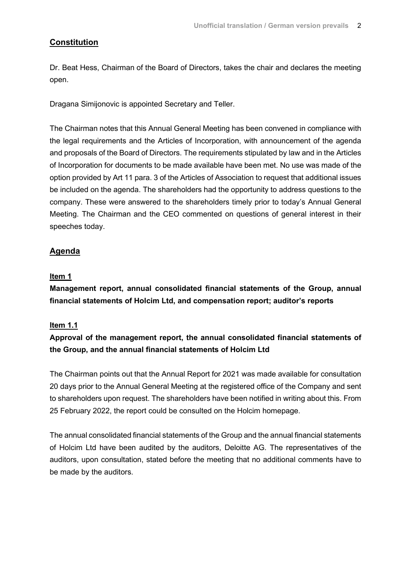# **Constitution**

Dr. Beat Hess, Chairman of the Board of Directors, takes the chair and declares the meeting open.

Dragana Simijonovic is appointed Secretary and Teller.

The Chairman notes that this Annual General Meeting has been convened in compliance with the legal requirements and the Articles of Incorporation, with announcement of the agenda and proposals of the Board of Directors. The requirements stipulated by law and in the Articles of Incorporation for documents to be made available have been met. No use was made of the option provided by Art 11 para. 3 of the Articles of Association to request that additional issues be included on the agenda. The shareholders had the opportunity to address questions to the company. These were answered to the shareholders timely prior to today's Annual General Meeting. The Chairman and the CEO commented on questions of general interest in their speeches today.

# **Agenda**

### **Item 1**

**Management report, annual consolidated financial statements of the Group, annual financial statements of Holcim Ltd, and compensation report; auditor's reports**

### **Item 1.1**

# **Approval of the management report, the annual consolidated financial statements of the Group, and the annual financial statements of Holcim Ltd**

The Chairman points out that the Annual Report for 2021 was made available for consultation 20 days prior to the Annual General Meeting at the registered office of the Company and sent to shareholders upon request. The shareholders have been notified in writing about this. From 25 February 2022, the report could be consulted on the Holcim homepage.

The annual consolidated financial statements of the Group and the annual financial statements of Holcim Ltd have been audited by the auditors, Deloitte AG. The representatives of the auditors, upon consultation, stated before the meeting that no additional comments have to be made by the auditors.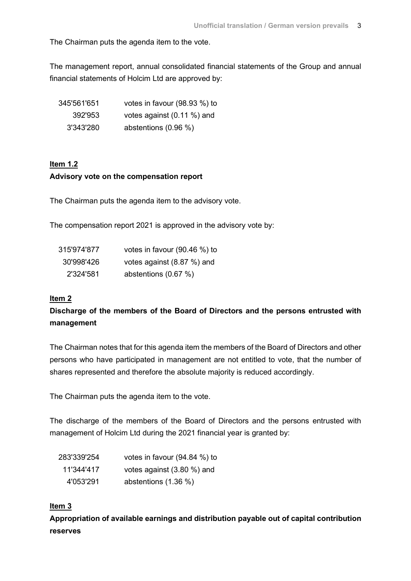The Chairman puts the agenda item to the vote.

The management report, annual consolidated financial statements of the Group and annual financial statements of Holcim Ltd are approved by:

| 345'561'651 | votes in favour (98.93 %) to |
|-------------|------------------------------|
| 392'953     | votes against (0.11 %) and   |
| 3'343'280   | abstentions $(0.96\%)$       |

# **Item 1.2 Advisory vote on the compensation report**

The Chairman puts the agenda item to the advisory vote.

The compensation report 2021 is approved in the advisory vote by:

| 315'974'877 | votes in favour (90.46 %) to |
|-------------|------------------------------|
| 30'998'426  | votes against (8.87 %) and   |
| 2'324'581   | abstentions (0.67 %)         |

#### **Item 2**

# **Discharge of the members of the Board of Directors and the persons entrusted with management**

The Chairman notes that for this agenda item the members of the Board of Directors and other persons who have participated in management are not entitled to vote, that the number of shares represented and therefore the absolute majority is reduced accordingly.

The Chairman puts the agenda item to the vote.

The discharge of the members of the Board of Directors and the persons entrusted with management of Holcim Ltd during the 2021 financial year is granted by:

| 283'339'254 | votes in favour $(94.84\%)$ to |
|-------------|--------------------------------|
| 11'344'417  | votes against (3.80 %) and     |
| 4'053'291   | abstentions $(1.36\%)$         |

### **Item 3**

**Appropriation of available earnings and distribution payable out of capital contribution reserves**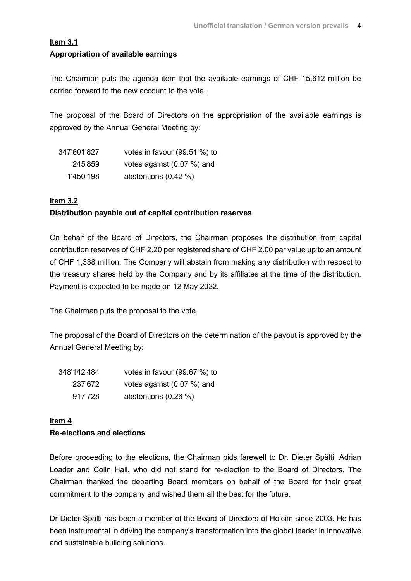#### **Item 3.1**

#### **Appropriation of available earnings**

The Chairman puts the agenda item that the available earnings of CHF 15,612 million be carried forward to the new account to the vote.

The proposal of the Board of Directors on the appropriation of the available earnings is approved by the Annual General Meeting by:

| 347'601'827 | votes in favour (99.51 %) to |
|-------------|------------------------------|
| 245'859     | votes against $(0.07\%)$ and |
| 1'450'198   | abstentions $(0.42\%)$       |

#### **Item 3.2**

#### **Distribution payable out of capital contribution reserves**

On behalf of the Board of Directors, the Chairman proposes the distribution from capital contribution reserves of CHF 2.20 per registered share of CHF 2.00 par value up to an amount of CHF 1,338 million. The Company will abstain from making any distribution with respect to the treasury shares held by the Company and by its affiliates at the time of the distribution. Payment is expected to be made on 12 May 2022.

The Chairman puts the proposal to the vote.

The proposal of the Board of Directors on the determination of the payout is approved by the Annual General Meeting by:

| 348'142'484 | votes in favour (99.67 %) to |
|-------------|------------------------------|
| 237'672     | votes against (0.07 %) and   |
| 917'728     | abstentions $(0.26\%)$       |

# **Item 4 Re-elections and elections**

Before proceeding to the elections, the Chairman bids farewell to Dr. Dieter Spälti, Adrian Loader and Colin Hall, who did not stand for re-election to the Board of Directors. The Chairman thanked the departing Board members on behalf of the Board for their great commitment to the company and wished them all the best for the future.

Dr Dieter Spälti has been a member of the Board of Directors of Holcim since 2003. He has been instrumental in driving the company's transformation into the global leader in innovative and sustainable building solutions.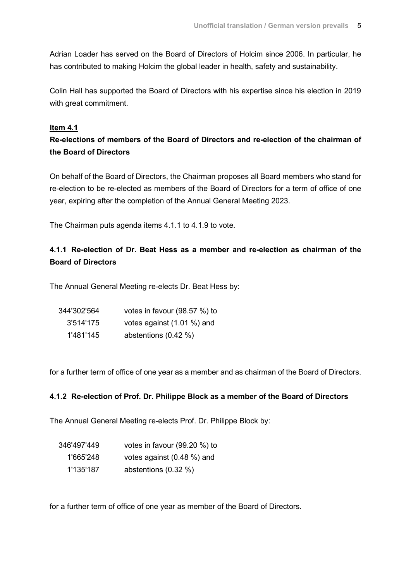Adrian Loader has served on the Board of Directors of Holcim since 2006. In particular, he has contributed to making Holcim the global leader in health, safety and sustainability.

Colin Hall has supported the Board of Directors with his expertise since his election in 2019 with great commitment.

#### **Item 4.1**

# **Re-elections of members of the Board of Directors and re-election of the chairman of the Board of Directors**

On behalf of the Board of Directors, the Chairman proposes all Board members who stand for re-election to be re-elected as members of the Board of Directors for a term of office of one year, expiring after the completion of the Annual General Meeting 2023.

The Chairman puts agenda items 4.1.1 to 4.1.9 to vote.

# **4.1.1 Re-election of Dr. Beat Hess as a member and re-election as chairman of the Board of Directors**

The Annual General Meeting re-elects Dr. Beat Hess by:

| 344'302'564 | votes in favour (98.57 %) to |
|-------------|------------------------------|
| 3'514'175   | votes against (1.01 %) and   |
| 1'481'145   | abstentions (0.42 %)         |

for a further term of office of one year as a member and as chairman of the Board of Directors.

#### **4.1.2 Re-election of Prof. Dr. Philippe Block as a member of the Board of Directors**

The Annual General Meeting re-elects Prof. Dr. Philippe Block by:

| 346'497'449 | votes in favour $(99.20\%)$ to |
|-------------|--------------------------------|
| 1'665'248   | votes against (0.48 %) and     |
| 1'135'187   | abstentions $(0.32 \%)$        |

for a further term of office of one year as member of the Board of Directors.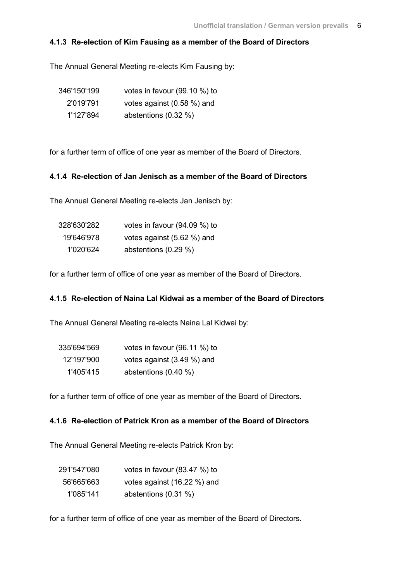### **4.1.3 Re-election of Kim Fausing as a member of the Board of Directors**

The Annual General Meeting re-elects Kim Fausing by:

| 346'150'199 | votes in favour (99.10 %) to |
|-------------|------------------------------|
| 2'019'791   | votes against (0.58 %) and   |
| 1'127'894   | abstentions $(0.32 \%)$      |

for a further term of office of one year as member of the Board of Directors.

#### **4.1.4 Re-election of Jan Jenisch as a member of the Board of Directors**

The Annual General Meeting re-elects Jan Jenisch by:

| 328'630'282 | votes in favour $(94.09\%)$ to |
|-------------|--------------------------------|
| 19'646'978  | votes against (5.62 %) and     |
| 1'020'624   | abstentions (0.29 %)           |

for a further term of office of one year as member of the Board of Directors.

### **4.1.5 Re-election of Naina Lal Kidwai as a member of the Board of Directors**

The Annual General Meeting re-elects Naina Lal Kidwai by:

| 335'694'569 | votes in favour (96.11 %) to |
|-------------|------------------------------|
| 12'197'900  | votes against (3.49 %) and   |
| 1'405'415   | abstentions $(0.40\%)$       |

for a further term of office of one year as member of the Board of Directors.

### **4.1.6 Re-election of Patrick Kron as a member of the Board of Directors**

The Annual General Meeting re-elects Patrick Kron by:

| 291'547'080 | votes in favour (83.47 %) to |
|-------------|------------------------------|
| 56'665'663  | votes against (16.22 %) and  |
| 1'085'141   | abstentions (0.31 %)         |

for a further term of office of one year as member of the Board of Directors.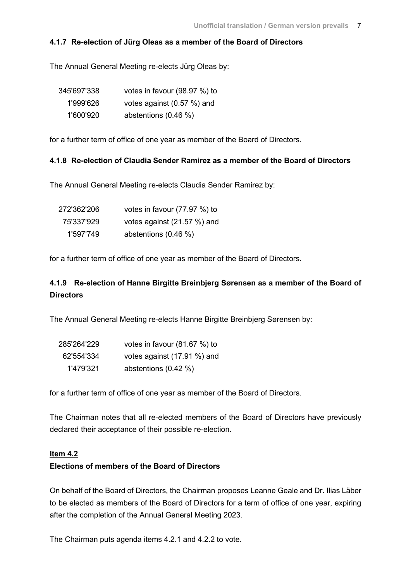#### **4.1.7 Re-election of Jürg Oleas as a member of the Board of Directors**

The Annual General Meeting re-elects Jürg Oleas by:

| 345'697'338 | votes in favour (98.97 %) to |
|-------------|------------------------------|
| 1'999'626   | votes against (0.57 %) and   |
| 1'600'920   | abstentions $(0.46\%)$       |

for a further term of office of one year as member of the Board of Directors.

#### **4.1.8 Re-election of Claudia Sender Ramirez as a member of the Board of Directors**

The Annual General Meeting re-elects Claudia Sender Ramirez by:

| 272'362'206 | votes in favour (77.97 %) to |
|-------------|------------------------------|
| 75'337'929  | votes against (21.57 %) and  |
| 1'597'749   | abstentions $(0.46\%)$       |

for a further term of office of one year as member of the Board of Directors.

# **4.1.9 Re-election of Hanne Birgitte Breinbjerg Sørensen as a member of the Board of Directors**

The Annual General Meeting re-elects Hanne Birgitte Breinbjerg Sørensen by:

| 285'264'229 | votes in favour $(81.67%)$ to |
|-------------|-------------------------------|
| 62'554'334  | votes against (17.91 %) and   |
| 1'479'321   | abstentions $(0.42 \%)$       |

for a further term of office of one year as member of the Board of Directors.

The Chairman notes that all re-elected members of the Board of Directors have previously declared their acceptance of their possible re-election.

#### **Item 4.2**

#### **Elections of members of the Board of Directors**

On behalf of the Board of Directors, the Chairman proposes Leanne Geale and Dr. Ilias Läber to be elected as members of the Board of Directors for a term of office of one year, expiring after the completion of the Annual General Meeting 2023.

The Chairman puts agenda items 4.2.1 and 4.2.2 to vote.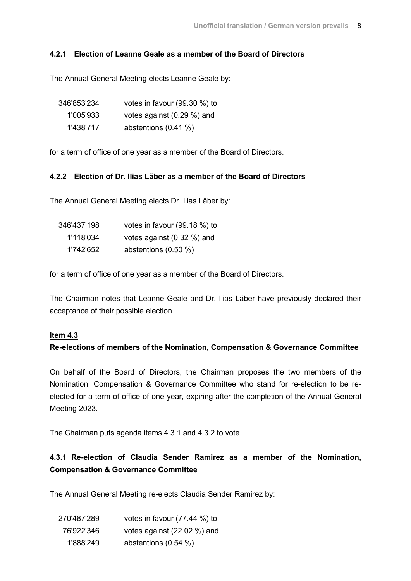### **4.2.1 Election of Leanne Geale as a member of the Board of Directors**

The Annual General Meeting elects Leanne Geale by:

| 346'853'234 | votes in favour (99.30 %) to |
|-------------|------------------------------|
| 1'005'933   | votes against (0.29 %) and   |
| 1'438'717   | abstentions $(0.41 \%)$      |

for a term of office of one year as a member of the Board of Directors.

#### **4.2.2 Election of Dr. Ilias Läber as a member of the Board of Directors**

The Annual General Meeting elects Dr. Ilias Läber by:

| 346'437'198 | votes in favour (99.18 %) to  |
|-------------|-------------------------------|
| 1'118'034   | votes against $(0.32 \%)$ and |
| 1'742'652   | abstentions $(0.50\%)$        |

for a term of office of one year as a member of the Board of Directors.

The Chairman notes that Leanne Geale and Dr. Ilias Läber have previously declared their acceptance of their possible election.

#### **Item 4.3**

### **Re-elections of members of the Nomination, Compensation & Governance Committee**

On behalf of the Board of Directors, the Chairman proposes the two members of the Nomination, Compensation & Governance Committee who stand for re-election to be reelected for a term of office of one year, expiring after the completion of the Annual General Meeting 2023.

The Chairman puts agenda items 4.3.1 and 4.3.2 to vote.

# **4.3.1 Re-election of Claudia Sender Ramirez as a member of the Nomination, Compensation & Governance Committee**

The Annual General Meeting re-elects Claudia Sender Ramirez by:

| 270'487'289 | votes in favour (77.44 %) to |
|-------------|------------------------------|
| 76'922'346  | votes against (22.02 %) and  |
| 1'888'249   | abstentions $(0.54\%)$       |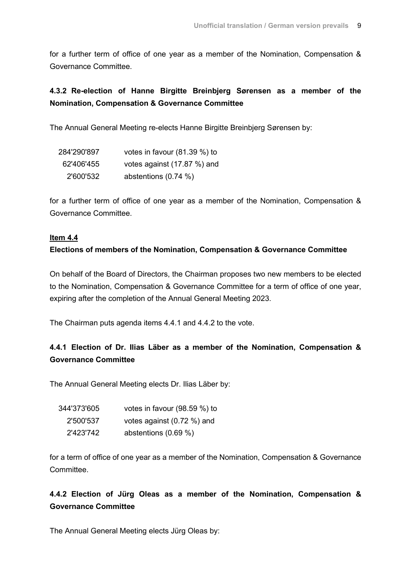for a further term of office of one year as a member of the Nomination, Compensation & Governance Committee.

# **4.3.2 Re-election of Hanne Birgitte Breinbjerg Sørensen as a member of the Nomination, Compensation & Governance Committee**

The Annual General Meeting re-elects Hanne Birgitte Breinbjerg Sørensen by:

| 284'290'897 | votes in favour (81.39 %) to |
|-------------|------------------------------|
| 62'406'455  | votes against (17.87 %) and  |
| 2'600'532   | abstentions $(0.74\%)$       |

for a further term of office of one year as a member of the Nomination, Compensation & Governance Committee.

# **Item 4.4 Elections of members of the Nomination, Compensation & Governance Committee**

On behalf of the Board of Directors, the Chairman proposes two new members to be elected to the Nomination, Compensation & Governance Committee for a term of office of one year, expiring after the completion of the Annual General Meeting 2023.

The Chairman puts agenda items 4.4.1 and 4.4.2 to the vote.

# **4.4.1 Election of Dr. Ilias Läber as a member of the Nomination, Compensation & Governance Committee**

The Annual General Meeting elects Dr. Ilias Läber by:

| 344'373'605 | votes in favour (98.59 %) to |
|-------------|------------------------------|
| 2'500'537   | votes against (0.72 %) and   |
| 2'423'742   | abstentions $(0.69\%)$       |

for a term of office of one year as a member of the Nomination, Compensation & Governance **Committee.** 

**4.4.2 Election of Jürg Oleas as a member of the Nomination, Compensation & Governance Committee**

The Annual General Meeting elects Jürg Oleas by: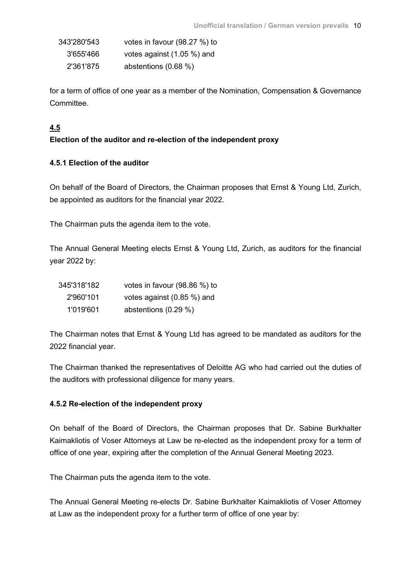| 343'280'543 | votes in favour (98.27 %) to |
|-------------|------------------------------|
| 3'655'466   | votes against (1.05 %) and   |
| 2'361'875   | abstentions $(0.68\%)$       |

for a term of office of one year as a member of the Nomination, Compensation & Governance Committee.

# **4.5**

# **Election of the auditor and re-election of the independent proxy**

### **4.5.1 Election of the auditor**

On behalf of the Board of Directors, the Chairman proposes that Ernst & Young Ltd, Zurich, be appointed as auditors for the financial year 2022.

The Chairman puts the agenda item to the vote.

The Annual General Meeting elects Ernst & Young Ltd, Zurich, as auditors for the financial year 2022 by:

| 345'318'182 | votes in favour (98.86 %) to |
|-------------|------------------------------|
| 2'960'101   | votes against $(0.85\%)$ and |
| 1'019'601   | abstentions (0.29 %)         |

The Chairman notes that Ernst & Young Ltd has agreed to be mandated as auditors for the 2022 financial year.

The Chairman thanked the representatives of Deloitte AG who had carried out the duties of the auditors with professional diligence for many years.

### **4.5.2 Re-election of the independent proxy**

On behalf of the Board of Directors, the Chairman proposes that Dr. Sabine Burkhalter Kaimakliotis of Voser Attorneys at Law be re-elected as the independent proxy for a term of office of one year, expiring after the completion of the Annual General Meeting 2023.

The Chairman puts the agenda item to the vote.

The Annual General Meeting re-elects Dr. Sabine Burkhalter Kaimakliotis of Voser Attorney at Law as the independent proxy for a further term of office of one year by: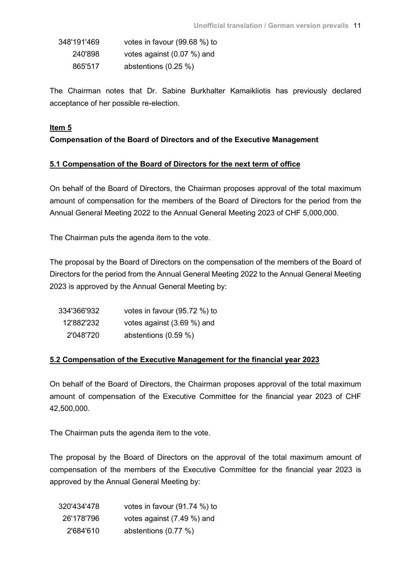| 348'191'469 | votes in favour (99.68 %) to |
|-------------|------------------------------|
| 240'898     | votes against $(0.07\%)$ and |
| 865'517     | abstentions $(0.25 \%)$      |

The Chairman notes that Dr. Sabine Burkhalter Kamaikliotis has previously declared acceptance of her possible re-election.

### **Item 5**

# **Compensation of the Board of Directors and of the Executive Management**

### **5.1 Compensation of the Board of Directors for the next term of office**

On behalf of the Board of Directors, the Chairman proposes approval of the total maximum amount of compensation for the members of the Board of Directors for the period from the Annual General Meeting 2022 to the Annual General Meeting 2023 of CHF 5,000,000.

The Chairman puts the agenda item to the vote.

The proposal by the Board of Directors on the compensation of the members of the Board of Directors for the period from the Annual General Meeting 2022 to the Annual General Meeting 2023 is approved by the Annual General Meeting by:

| 334'366'932 | votes in favour (95.72 %) to |
|-------------|------------------------------|
| 12'882'232  | votes against (3.69 %) and   |
| 2'048'720   | abstentions $(0.59\%)$       |

### **5.2 Compensation of the Executive Management for the financial year 2023**

On behalf of the Board of Directors, the Chairman proposes approval of the total maximum amount of compensation of the Executive Committee for the financial year 2023 of CHF 42,500,000.

The Chairman puts the agenda item to the vote.

The proposal by the Board of Directors on the approval of the total maximum amount of compensation of the members of the Executive Committee for the financial year 2023 is approved by the Annual General Meeting by:

| 320'434'478 | votes in favour (91.74 %) to |
|-------------|------------------------------|
| 26'178'796  | votes against (7.49 %) and   |
| 2'684'610   | abstentions (0.77 %)         |